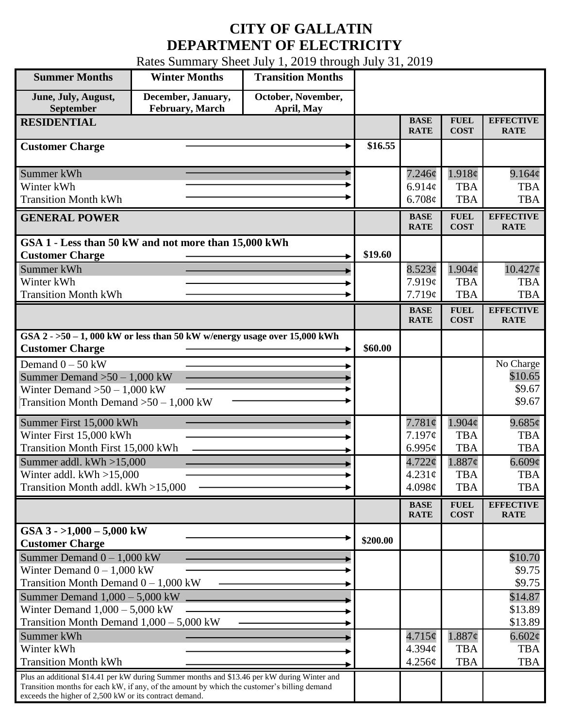## **CITY OF GALLATIN DEPARTMENT OF ELECTRICITY**

Rates Summary Sheet July 1, 2019 through July 31, 2019

| <b>Summer Months</b>                                                                                                                                                                                                                                 | <b>Winter Months</b>                         | <b>Transition Months</b>         |          |                            |                            |                                 |
|------------------------------------------------------------------------------------------------------------------------------------------------------------------------------------------------------------------------------------------------------|----------------------------------------------|----------------------------------|----------|----------------------------|----------------------------|---------------------------------|
| June, July, August,<br>September                                                                                                                                                                                                                     | December, January,<br><b>February, March</b> | October, November,<br>April, May |          |                            |                            |                                 |
| <b>RESIDENTIAL</b>                                                                                                                                                                                                                                   |                                              |                                  |          | <b>BASE</b><br><b>RATE</b> | <b>FUEL</b><br><b>COST</b> | <b>EFFECTIVE</b><br><b>RATE</b> |
| <b>Customer Charge</b>                                                                                                                                                                                                                               |                                              |                                  | \$16.55  |                            |                            |                                 |
| Summer kWh                                                                                                                                                                                                                                           |                                              |                                  |          | 7.246¢                     | 1.918¢                     | 9.164¢                          |
| Winter kWh<br><b>Transition Month kWh</b>                                                                                                                                                                                                            |                                              |                                  |          | 6.914 $\mathfrak{e}$       | <b>TBA</b>                 | <b>TBA</b>                      |
|                                                                                                                                                                                                                                                      |                                              |                                  |          | 6.708 $\phi$               | <b>TBA</b>                 | <b>TBA</b>                      |
| <b>GENERAL POWER</b>                                                                                                                                                                                                                                 |                                              |                                  |          | <b>BASE</b><br><b>RATE</b> | <b>FUEL</b><br><b>COST</b> | <b>EFFECTIVE</b><br><b>RATE</b> |
| GSA 1 - Less than 50 kW and not more than 15,000 kWh                                                                                                                                                                                                 |                                              |                                  |          |                            |                            |                                 |
| <b>Customer Charge</b>                                                                                                                                                                                                                               |                                              |                                  | \$19.60  |                            |                            |                                 |
| Summer kWh                                                                                                                                                                                                                                           |                                              |                                  |          | 8.523¢                     | $1.904\phi$                | $10.427\phi$                    |
| Winter kWh<br><b>Transition Month kWh</b>                                                                                                                                                                                                            |                                              |                                  |          | 7.919c<br>7.719¢           | <b>TBA</b><br><b>TBA</b>   | <b>TBA</b><br><b>TBA</b>        |
|                                                                                                                                                                                                                                                      |                                              |                                  |          | <b>BASE</b>                | <b>FUEL</b>                | <b>EFFECTIVE</b>                |
|                                                                                                                                                                                                                                                      |                                              |                                  |          | <b>RATE</b>                | <b>COST</b>                | <b>RATE</b>                     |
| GSA $2 - 50 - 1$ , 000 kW or less than 50 kW w/energy usage over 15,000 kWh<br><b>Customer Charge</b>                                                                                                                                                |                                              |                                  | \$60.00  |                            |                            |                                 |
| Demand $0 - 50$ kW                                                                                                                                                                                                                                   |                                              |                                  |          |                            |                            | No Charge                       |
| Summer Demand $>50-1,000$ kW                                                                                                                                                                                                                         |                                              |                                  |          |                            |                            | \$10.65                         |
| Winter Demand $>50-1,000$ kW                                                                                                                                                                                                                         |                                              |                                  |          |                            |                            | \$9.67                          |
| Transition Month Demand $>50-1,000$ kW                                                                                                                                                                                                               |                                              |                                  |          |                            |                            | \$9.67                          |
| Summer First 15,000 kWh                                                                                                                                                                                                                              |                                              |                                  |          | 7.781¢                     | $1.904\phi$                | $9.685\phi$                     |
| Winter First 15,000 kWh                                                                                                                                                                                                                              |                                              |                                  |          | 7.197¢                     | <b>TBA</b>                 | <b>TBA</b>                      |
| Transition Month First 15,000 kWh                                                                                                                                                                                                                    |                                              |                                  |          | $6.995\ell$                | <b>TBA</b>                 | <b>TBA</b>                      |
| Summer addl. $kWh > 15,000$                                                                                                                                                                                                                          |                                              |                                  |          | $4.722\phi$                | $1.887\phi$                | 6.609¢                          |
| Winter addl. $kWh > 15,000$                                                                                                                                                                                                                          |                                              |                                  |          | 4.231¢                     | <b>TBA</b>                 | <b>TBA</b>                      |
| Transition Month addl. kWh >15,000                                                                                                                                                                                                                   |                                              |                                  |          | 4.098¢                     | <b>TBA</b>                 | <b>TBA</b>                      |
|                                                                                                                                                                                                                                                      |                                              |                                  |          | <b>BASE</b><br><b>RATE</b> | <b>FUEL</b><br><b>COST</b> | <b>EFFECTIVE</b><br><b>RATE</b> |
| GSA $3 - 1,000 - 5,000$ kW<br><b>Customer Charge</b>                                                                                                                                                                                                 |                                              |                                  | \$200.00 |                            |                            |                                 |
| Summer Demand $0 - 1,000$ kW                                                                                                                                                                                                                         |                                              |                                  |          |                            |                            | \$10.70                         |
| Winter Demand $0 - 1,000$ kW                                                                                                                                                                                                                         |                                              |                                  |          |                            |                            | \$9.75                          |
| Transition Month Demand $0 - 1,000$ kW                                                                                                                                                                                                               |                                              |                                  |          |                            |                            | \$9.75                          |
| Summer Demand $1,000 - 5,000$ kW                                                                                                                                                                                                                     |                                              |                                  |          |                            |                            | \$14.87                         |
| Winter Demand $1,000 - 5,000$ kW                                                                                                                                                                                                                     |                                              |                                  |          |                            |                            | \$13.89                         |
| Transition Month Demand $1,000 - 5,000$ kW                                                                                                                                                                                                           |                                              |                                  |          |                            |                            | \$13.89                         |
| Summer kWh                                                                                                                                                                                                                                           |                                              |                                  |          | 4.715¢                     | 1.887¢                     | $6.602\phi$                     |
| Winter kWh                                                                                                                                                                                                                                           |                                              |                                  |          | $4.394\mathcal{C}$         | <b>TBA</b>                 | <b>TBA</b>                      |
| <b>Transition Month kWh</b>                                                                                                                                                                                                                          |                                              |                                  |          | 4.256¢                     | <b>TBA</b>                 | <b>TBA</b>                      |
| Plus an additional \$14.41 per kW during Summer months and \$13.46 per kW during Winter and<br>Transition months for each kW, if any, of the amount by which the customer's billing demand<br>exceeds the higher of 2,500 kW or its contract demand. |                                              |                                  |          |                            |                            |                                 |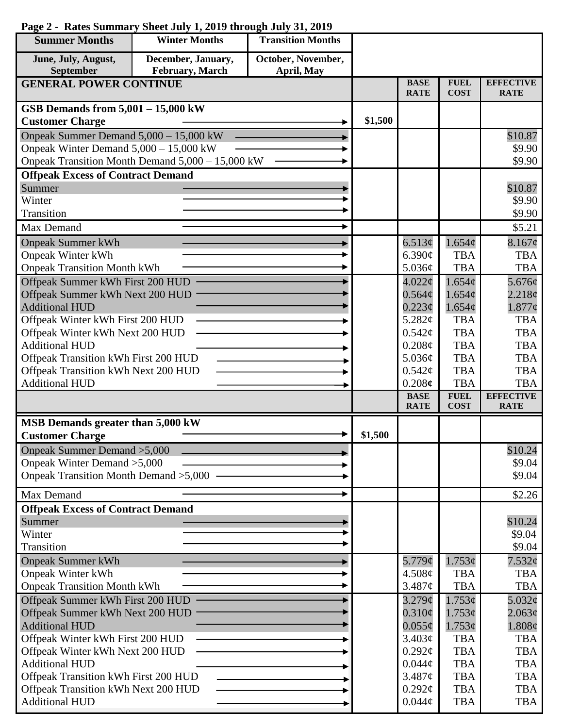| <b>Summer Months</b>                                                | <b>Winter Months</b>                             | <b>Transition Months</b> |         |                                   |                            |                                 |
|---------------------------------------------------------------------|--------------------------------------------------|--------------------------|---------|-----------------------------------|----------------------------|---------------------------------|
| June, July, August,                                                 | December, January,                               | October, November,       |         |                                   |                            |                                 |
| September                                                           | <b>February</b> , March                          | April, May               |         |                                   |                            |                                 |
| <b>GENERAL POWER CONTINUE</b>                                       |                                                  |                          |         | <b>BASE</b><br><b>RATE</b>        | <b>FUEL</b><br><b>COST</b> | <b>EFFECTIVE</b><br><b>RATE</b> |
| GSB Demands from 5,001 - 15,000 kW                                  |                                                  |                          |         |                                   |                            |                                 |
| <b>Customer Charge</b>                                              |                                                  |                          | \$1,500 |                                   |                            |                                 |
| Onpeak Summer Demand 5,000 - 15,000 kW                              |                                                  |                          |         |                                   |                            | \$10.87                         |
| Onpeak Winter Demand $5,000 - 15,000$ kW                            |                                                  |                          |         |                                   |                            | \$9.90                          |
|                                                                     | Onpeak Transition Month Demand 5,000 - 15,000 kW |                          |         |                                   |                            | \$9.90                          |
| <b>Offpeak Excess of Contract Demand</b>                            |                                                  |                          |         |                                   |                            |                                 |
| Summer                                                              |                                                  |                          |         |                                   |                            | \$10.87                         |
| Winter                                                              |                                                  |                          |         |                                   |                            | \$9.90                          |
| Transition                                                          |                                                  |                          |         |                                   |                            | \$9.90                          |
| Max Demand                                                          |                                                  |                          |         |                                   |                            | \$5.21                          |
| <b>Onpeak Summer kWh</b>                                            |                                                  |                          |         | 6.513¢                            | 1.654¢                     | $8.167$ ¢                       |
| <b>Onpeak Winter kWh</b>                                            |                                                  |                          |         | 6.390¢                            | <b>TBA</b>                 | <b>TBA</b>                      |
| <b>Onpeak Transition Month kWh</b>                                  |                                                  |                          |         | 5.036¢                            | <b>TBA</b>                 | <b>TBA</b>                      |
| Offpeak Summer kWh First 200 HUD                                    |                                                  |                          |         | $4.022\phi$                       | 1.654 <sub>c</sub>         | 5.676¢                          |
| Offpeak Summer kWh Next 200 HUD<br><b>Additional HUD</b>            |                                                  |                          |         | $0.564\mathcal{C}$<br>$0.223\phi$ | 1.654¢<br>1.654¢           | 2.218¢<br>$1.877\phi$           |
| Offpeak Winter kWh First 200 HUD                                    |                                                  |                          |         | 5.282¢                            | <b>TBA</b>                 | <b>TBA</b>                      |
| Offpeak Winter kWh Next 200 HUD                                     |                                                  |                          |         | $0.542\mathcal{C}$                | <b>TBA</b>                 | <b>TBA</b>                      |
| <b>Additional HUD</b>                                               |                                                  |                          |         | 0.208¢                            | <b>TBA</b>                 | <b>TBA</b>                      |
| Offpeak Transition kWh First 200 HUD                                |                                                  |                          |         | 5.036¢                            | <b>TBA</b>                 | <b>TBA</b>                      |
| Offpeak Transition kWh Next 200 HUD                                 |                                                  |                          |         | $0.542\mathcal{C}$                | <b>TBA</b>                 | <b>TBA</b>                      |
| <b>Additional HUD</b>                                               |                                                  |                          |         | 0.208c                            | <b>TBA</b>                 | <b>TBA</b>                      |
|                                                                     |                                                  |                          |         | <b>BASE</b><br><b>RATE</b>        | <b>FUEL</b><br><b>COST</b> | <b>EFFECTIVE</b><br><b>RATE</b> |
| MSB Demands greater than 5,000 kW                                   |                                                  |                          |         |                                   |                            |                                 |
| <b>Customer Charge</b>                                              |                                                  |                          | \$1,500 |                                   |                            |                                 |
| Onpeak Summer Demand > 5,000                                        |                                                  |                          |         |                                   |                            | \$10.24                         |
| Onpeak Winter Demand > 5,000                                        |                                                  |                          |         |                                   |                            | \$9.04                          |
| Onpeak Transition Month Demand > 5,000                              |                                                  |                          |         |                                   |                            | \$9.04                          |
| Max Demand                                                          |                                                  |                          |         |                                   |                            |                                 |
|                                                                     |                                                  |                          |         |                                   |                            | \$2.26                          |
| <b>Offpeak Excess of Contract Demand</b><br>Summer                  |                                                  |                          |         |                                   |                            |                                 |
| Winter                                                              |                                                  |                          |         |                                   |                            |                                 |
|                                                                     |                                                  |                          |         |                                   |                            | \$10.24                         |
|                                                                     |                                                  |                          |         |                                   |                            | \$9.04                          |
| Transition                                                          |                                                  |                          |         |                                   |                            | \$9.04                          |
| <b>Onpeak Summer kWh</b>                                            |                                                  |                          |         | 5.779¢                            | 1.753¢                     | 7.532¢                          |
| <b>Onpeak Winter kWh</b>                                            |                                                  |                          |         | 4.508¢                            | <b>TBA</b><br><b>TBA</b>   | <b>TBA</b><br><b>TBA</b>        |
| <b>Onpeak Transition Month kWh</b>                                  |                                                  |                          |         | 3.487¢<br>$3.279$ ¢               | 1.753¢                     | 5.032¢                          |
| Offpeak Summer kWh First 200 HUD<br>Offpeak Summer kWh Next 200 HUD |                                                  |                          |         | $0.310\phi$                       | 1.753¢                     | 2.063¢                          |
| <b>Additional HUD</b>                                               |                                                  |                          |         | $0.055\phi$                       | 1.753¢                     | 1.808¢                          |
| Offpeak Winter kWh First 200 HUD                                    |                                                  |                          |         | 3.403¢                            | <b>TBA</b>                 | <b>TBA</b>                      |
| Offpeak Winter kWh Next 200 HUD                                     |                                                  |                          |         | $0.292\ell$                       | <b>TBA</b>                 | <b>TBA</b>                      |
| <b>Additional HUD</b>                                               |                                                  |                          |         | $0.044\phi$                       | <b>TBA</b>                 | <b>TBA</b>                      |
| Offpeak Transition kWh First 200 HUD                                |                                                  |                          |         | 3.487¢                            | <b>TBA</b>                 | <b>TBA</b>                      |
| Offpeak Transition kWh Next 200 HUD<br><b>Additional HUD</b>        |                                                  |                          |         | $0.292\ell$<br>$0.044\phi$        | <b>TBA</b><br><b>TBA</b>   | <b>TBA</b><br><b>TBA</b>        |

## **Page 2 - Rates Summary Sheet July 1, 2019 through July 31, 2019**